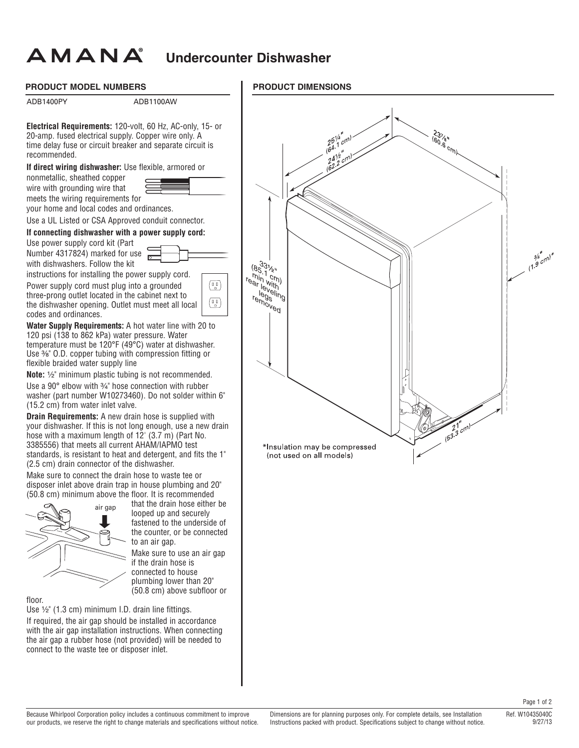## **Undercounter Dishwasher**

## **PRODUCT MODEL NUMBERS**

AMANA

ADB1400PY ADB1100AW **Electrical Requirements:** 120-volt, 60 Hz, AC-only, 15- or 20-amp. fused electrical supply. Copper wire only. A time delay fuse or circuit breaker and separate circuit is recommended. **If direct wiring dishwasher:** Use flexible, armored or nonmetallic, sheathed copper wire with grounding wire that meets the wiring requirements for your home and local codes and ordinances. Use a UL Listed or CSA Approved conduit connector. **If connecting dishwasher with a power supply cord:**  Use power supply cord kit (Part Number 4317824) marked for use with dishwashers. Follow the kit instructions for installing the power supply cord. Power supply cord must plug into a grounded  $(\mathbb{I}_{\alpha}^{0})$ three-prong outlet located in the cabinet next to  $\sqrt{q}$ the dishwasher opening. Outlet must meet all local codes and ordinances. **Water Supply Requirements:** A hot water line with 20 to 120 psi (138 to 862 kPa) water pressure. Water temperature must be 120°F (49°C) water at dishwasher. Use <sup>3</sup>⁄<sub>8</sub>" O.D. copper tubing with compression fitting or flexible braided water supply line **Note:** 1/2" minimum plastic tubing is not recommended. Use a 90 $^{\circ}$  elbow with  $\frac{3}{4}$ " hose connection with rubber washer (part number W10273460). Do not solder within 6" (15.2 cm) from water inlet valve. **Drain Requirements:** A new drain hose is supplied with your dishwasher. If this is not long enough, use a new drain hose with a maximum length of  $12'$  (3.7 m) (Part No. 3385556) that meets all current AHAM/IAPMO test standards, is resistant to heat and detergent, and fits the 1" (2.5 cm) drain connector of the dishwasher. Make sure to connect the drain hose to waste tee or disposer inlet above drain trap in house plumbing and 20" (50.8 cm) minimum above the floor. It is recommended that the drain hose either be air gap looped up and securely fastened to the underside of the counter, or be connected to an air gap. Make sure to use an air gap if the drain hose is connected to house plumbing lower than 20"

floor.

Use  $\frac{1}{2}$ " (1.3 cm) minimum I.D. drain line fittings. If required, the air gap should be installed in accordance with the air gap installation instructions. When connecting the air gap a rubber hose (not provided) will be needed to connect to the waste tee or disposer inlet.

(50.8 cm) above subfloor or

## **PRODUCT DIMENSIONS**